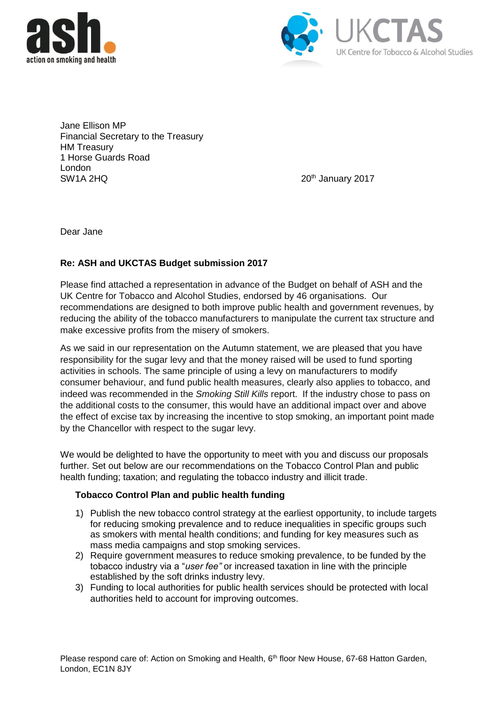



Jane Ellison MP Financial Secretary to the Treasury HM Treasury 1 Horse Guards Road London<br>SW1A 2HQ

20<sup>th</sup> January 2017

Dear Jane

## **Re: ASH and UKCTAS Budget submission 2017**

Please find attached a representation in advance of the Budget on behalf of ASH and the UK Centre for Tobacco and Alcohol Studies, endorsed by 46 organisations. Our recommendations are designed to both improve public health and government revenues, by reducing the ability of the tobacco manufacturers to manipulate the current tax structure and make excessive profits from the misery of smokers.

As we said in our representation on the Autumn statement, we are pleased that you have responsibility for the sugar levy and that the money raised will be used to fund sporting activities in schools. The same principle of using a levy on manufacturers to modify consumer behaviour, and fund public health measures, clearly also applies to tobacco, and indeed was recommended in the *Smoking Still Kills* report. If the industry chose to pass on the additional costs to the consumer, this would have an additional impact over and above the effect of excise tax by increasing the incentive to stop smoking, an important point made by the Chancellor with respect to the sugar levy.

We would be delighted to have the opportunity to meet with you and discuss our proposals further. Set out below are our recommendations on the Tobacco Control Plan and public health funding; taxation; and regulating the tobacco industry and illicit trade.

## **Tobacco Control Plan and public health funding**

- 1) Publish the new tobacco control strategy at the earliest opportunity, to include targets for reducing smoking prevalence and to reduce inequalities in specific groups such as smokers with mental health conditions; and funding for key measures such as mass media campaigns and stop smoking services.
- 2) Require government measures to reduce smoking prevalence, to be funded by the tobacco industry via a "*user fee"* or increased taxation in line with the principle established by the soft drinks industry levy.
- 3) Funding to local authorities for public health services should be protected with local authorities held to account for improving outcomes.